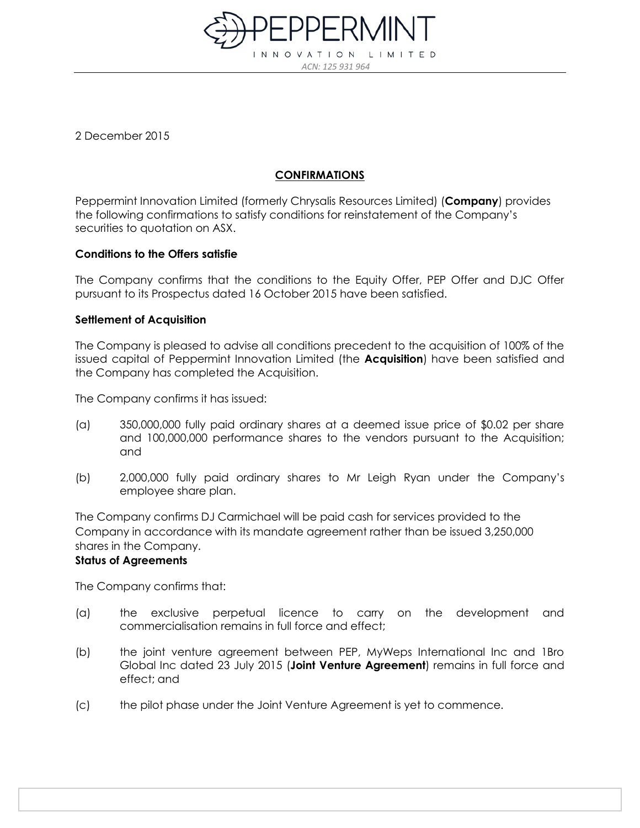

2 December 2015

# **CONFIRMATIONS**

Peppermint Innovation Limited (formerly Chrysalis Resources Limited) (**Company**) provides the following confirmations to satisfy conditions for reinstatement of the Company's securities to quotation on ASX.

## **Conditions to the Offers satisfie**

The Company confirms that the conditions to the Equity Offer, PEP Offer and DJC Offer pursuant to its Prospectus dated 16 October 2015 have been satisfied.

## **Settlement of Acquisition**

The Company is pleased to advise all conditions precedent to the acquisition of 100% of the issued capital of Peppermint Innovation Limited (the **Acquisition**) have been satisfied and the Company has completed the Acquisition.

The Company confirms it has issued:

- (a) 350,000,000 fully paid ordinary shares at a deemed issue price of \$0.02 per share and 100,000,000 performance shares to the vendors pursuant to the Acquisition; and
- (b) 2,000,000 fully paid ordinary shares to Mr Leigh Ryan under the Company's employee share plan.

The Company confirms DJ Carmichael will be paid cash for services provided to the Company in accordance with its mandate agreement rather than be issued 3,250,000 shares in the Company.

## **Status of Agreements**

The Company confirms that:

- (a) the exclusive perpetual licence to carry on the development and commercialisation remains in full force and effect;
- (b) the joint venture agreement between PEP, MyWeps International Inc and 1Bro Global Inc dated 23 July 2015 (**Joint Venture Agreement**) remains in full force and effect; and
- (c) the pilot phase under the Joint Venture Agreement is yet to commence.